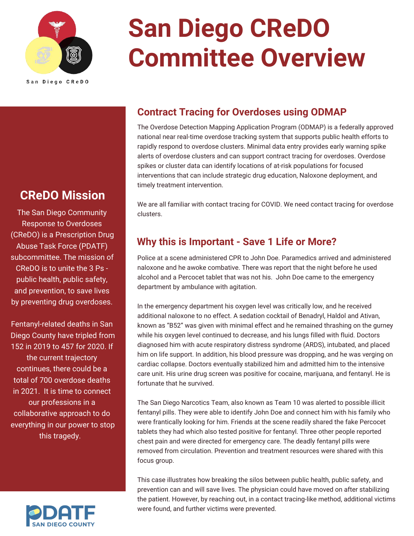

# **San Diego CReDO Committee Overview**

San Diego CReDO

### **CReDO Mission**

The San Diego Community Response to Overdoses (CReDO) is a Prescription Drug Abuse Task Force (PDATF) subcommittee. The mission of CReDO is to unite the 3 Ps public health, public safety, and prevention, to save lives by preventing drug overdoses.

Fentanyl-related deaths in San Diego County have tripled from 152 in 2019 to 457 for 2020. If the current trajectory continues, there could be a total of 700 overdose deaths in 2021. It is time to connect our professions in a collaborative approach to do everything in our power to stop this tragedy.



#### **Contract Tracing for Overdoses using ODMAP**

The Overdose Detection Mapping Application Program (ODMAP) is a federally approved national near real-time overdose tracking system that supports public health efforts to rapidly respond to overdose clusters. Minimal data entry provides early warning spike alerts of overdose clusters and can support contract tracing for overdoses. Overdose spikes or cluster data can identify locations of at-risk populations for focused interventions that can include strategic drug education, Naloxone deployment, and timely treatment intervention.

We are all familiar with contact tracing for COVID. We need contact tracing for overdose clusters.

#### **Why this is Important - Save 1 Life or More?**

Police at a scene administered CPR to John Doe. Paramedics arrived and administered naloxone and he awoke combative. There was report that the night before he used alcohol and a Percocet tablet that was not his. John Doe came to the emergency department by ambulance with agitation.

In the emergency department his oxygen level was critically low, and he received additional naloxone to no effect. A sedation cocktail of Benadryl, Haldol and Ativan, known as "B52" was given with minimal effect and he remained thrashing on the gurney while his oxygen level continued to decrease, and his lungs filled with fluid. Doctors diagnosed him with acute respiratory distress syndrome (ARDS), intubated, and placed him on life support. In addition, his blood pressure was dropping, and he was verging on cardiac collapse. Doctors eventually stabilized him and admitted him to the intensive care unit. His urine drug screen was positive for cocaine, marijuana, and fentanyl. He is fortunate that he survived.

The San Diego Narcotics Team, also known as Team 10 was alerted to possible illicit fentanyl pills. They were able to identify John Doe and connect him with his family who were frantically looking for him. Friends at the scene readily shared the fake Percocet tablets they had which also tested positive for fentanyl. Three other people reported chest pain and were directed for emergency care. The deadly fentanyl pills were removed from circulation. Prevention and treatment resources were shared with this focus group.

This case illustrates how breaking the silos between public health, public safety, and prevention can and will save lives. The physician could have moved on after stabilizing the patient. However, by reaching out, in a contact tracing-like method, additional victims were found, and further victims were prevented.